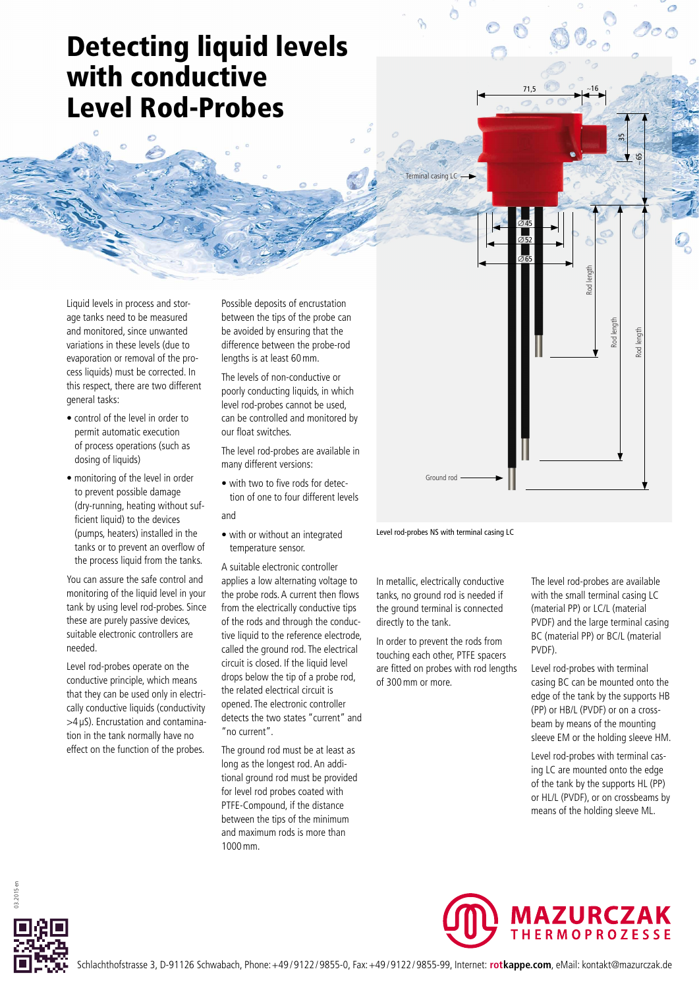## Detecting liquid levels with conductive Level Rod-Probes

Liquid levels in process and storage tanks need to be measured and monitored, since unwanted variations in these levels (due to evaporation or removal of the process liquids) must be corrected. In this respect, there are two different general tasks:

- control of the level in order to permit automatic execution of process operations (such as dosing of liquids)
- monitoring of the level in order to prevent possible damage (dry-running, heating without sufficient liquid) to the devices (pumps, heaters) installed in the tanks or to prevent an overflow of the process liquid from the tanks.

You can assure the safe control and monitoring of the liquid level in your tank by using level rod-probes. Since these are purely passive devices, suitable electronic controllers are needed.

Level rod-probes operate on the conductive principle, which means that they can be used only in electrically conductive liquids (conductivity >4 μS). Encrustation and contamination in the tank normally have no effect on the function of the probes.

Possible deposits of encrustation between the tips of the probe can be avoided by ensuring that the difference between the probe-rod lengths is at least 60mm.

The levels of non-conductive or poorly conducting liquids, in which level rod-probes cannot be used, can be controlled and monitored by our float switches.

- The level rod-probes are available in many different versions:
- with two to five rods for detection of one to four different levels and
- 
- with or without an integrated temperature sensor.

A suitable electronic controller applies a low alternating voltage to the probe rods. A current then flows from the electrically conductive tips of the rods and through the conductive liquid to the reference electrode, called the ground rod. The electrical circuit is closed. If the liquid level drops below the tip of a probe rod, the related electrical circuit is opened. The electronic controller detects the two states "current" and "no current".

The ground rod must be at least as long as the longest rod. An additional ground rod must be provided for level rod probes coated with PTFE-Compound, if the distance between the tips of the minimum and maximum rods is more than 1000mm.

Level rod-probes NS with terminal casing LC

Ground rod

minal casing LC

∅45 ∅52 ∅65

71,5 ∼16

 $\frac{1}{2}$ 

∼ 65

Rod length

Rod length

Rod length

In metallic, electrically conductive tanks, no ground rod is needed if the ground terminal is connected directly to the tank.

In order to prevent the rods from touching each other, PTFE spacers are fitted on probes with rod lengths of 300mm or more.

The level rod-probes are available with the small terminal casing LC (material PP) or LC/L (material PVDF) and the large terminal casing BC (material PP) or BC/L (material PVDF).

Level rod-probes with terminal casing BC can be mounted onto the edge of the tank by the supports HB (PP) or HB/L (PVDF) or on a crossbeam by means of the mounting sleeve EM or the holding sleeve HM.

Level rod-probes with terminal casing LC are mounted onto the edge of the tank by the supports HL (PP) or HL/L (PVDF), or on crossbeams by means of the holding sleeve ML.



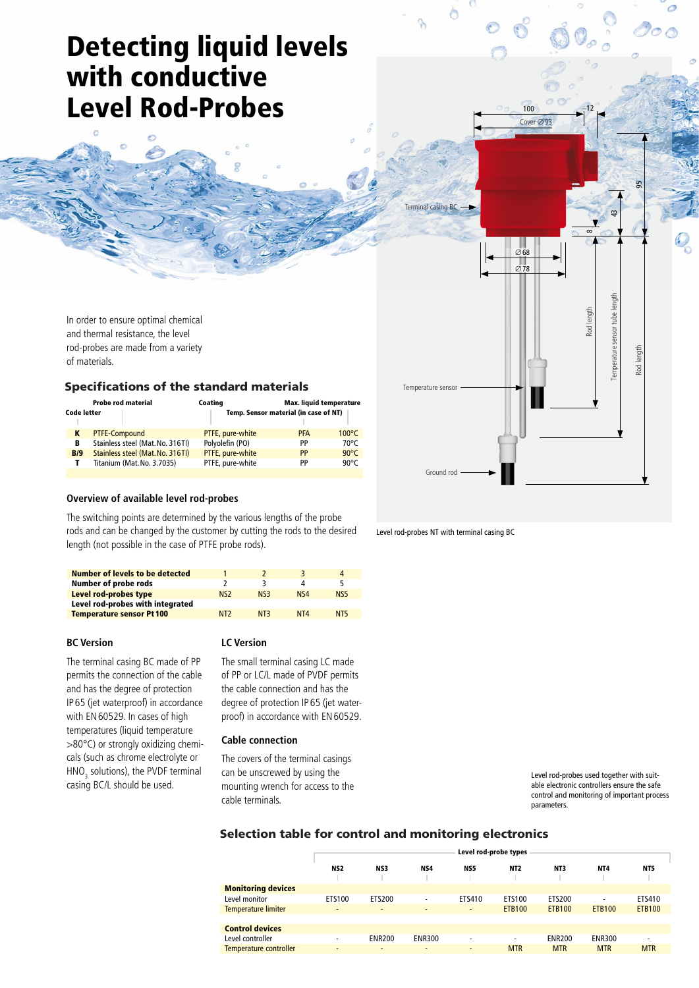# Detecting liquid levels with conductive Level Rod-Probes

In order to ensure optimal chemical and thermal resistance, the level rod-probes are made from a variety of materials.

## Specifications of the standard materials

| <b>Probe rod material</b><br><b>Code letter</b> |     |                                  | Coating          | Max. liquid temperature<br>Temp. Sensor material (in case of NT) |                 |  |
|-------------------------------------------------|-----|----------------------------------|------------------|------------------------------------------------------------------|-----------------|--|
|                                                 |     | <b>PTFE-Compound</b>             | PTFE, pure-white | <b>PFA</b>                                                       | $100^{\circ}$ C |  |
|                                                 | в   | Stainless steel (Mat. No. 316TI) | Polyolefin (PO)  | PP                                                               | $70^{\circ}$ C  |  |
|                                                 | B/9 | Stainless steel (Mat. No. 316TI) | PTFE, pure-white | PP                                                               | $90^{\circ}$ C  |  |
|                                                 |     | Titanium (Mat. No. 3.7035)       | PTFE, pure-white | PP                                                               | 90°C            |  |
|                                                 |     |                                  |                  |                                                                  |                 |  |

### **Overview of available level rod-probes**

The switching points are determined by the various lengths of the probe rods and can be changed by the customer by cutting the rods to the desired length (not possible in the case of PTFE probe rods).

| Number of levels to be detected  |                 |                  |                             | Δ               |
|----------------------------------|-----------------|------------------|-----------------------------|-----------------|
| <b>Number of probe rods</b>      |                 |                  |                             |                 |
| Level rod-probes type            | N <sub>S2</sub> | N <sub>S</sub> 3 | N <sub>S4</sub>             | N <sub>S5</sub> |
| Level rod-probes with integrated |                 |                  |                             |                 |
| <b>Temperature sensor Pt 100</b> | N <sub>T</sub>  | N <sub>T</sub>   | N <sub>T</sub> <sub>4</sub> | N <sub>T5</sub> |
|                                  |                 |                  |                             |                 |

### **BC Version**

The terminal casing BC made of PP permits the connection of the cable and has the degree of protection IP 65 (jet waterproof) in accordance with EN60529. In cases of high temperatures (liquid temperature >80°C) or strongly oxidizing chemicals (such as chrome electrolyte or  $HNO<sub>3</sub>$  solutions), the PVDF terminal casing BC/L should be used.

### **LC Version**

The small terminal casing LC made of PP or LC/L made of PVDF permits the cable connection and has the degree of protection IP 65 (jet waterproof) in accordance with EN60529.

### **Cable connection**

The covers of the terminal casings can be unscrewed by using the mounting wrench for access to the cable terminals.

Level rod-probes used together with suitable electronic controllers ensure the safe control and monitoring of important process parameters.

## Selection table for control and monitoring electronics

|                            | Level rod-probe types    |                          |                |                          |                 |               |                 |               |
|----------------------------|--------------------------|--------------------------|----------------|--------------------------|-----------------|---------------|-----------------|---------------|
|                            | NS <sub>2</sub>          | NS3                      | NS4            | NS5                      | NT <sub>2</sub> | NT3           | NT <sub>4</sub> | NT5           |
| <b>Monitoring devices</b>  |                          |                          |                |                          |                 |               |                 |               |
| Level monitor              | ETS100                   | ETS200                   | ٠              | ETS410                   | ETS100          | ETS200        | ۰               | ETS410        |
| <b>Temperature limiter</b> | $\overline{\phantom{a}}$ | $\overline{\phantom{0}}$ | $\overline{a}$ | $\overline{a}$           | <b>ETB100</b>   | <b>ETB100</b> | <b>ETB100</b>   | <b>ETB100</b> |
|                            |                          |                          |                |                          |                 |               |                 |               |
| <b>Control devices</b>     |                          |                          |                |                          |                 |               |                 |               |
| Level controller           | $\overline{\phantom{0}}$ | <b>ENR200</b>            | <b>ENR300</b>  | $\overline{\phantom{a}}$ | ٠               | <b>ENR200</b> | <b>ENR300</b>   |               |
| Temperature controller     | -                        | ٠                        | $\overline{a}$ | $\overline{\phantom{a}}$ | <b>MTR</b>      | <b>MTR</b>    | <b>MTR</b>      | <b>MTR</b>    |

Level rod-probes NT with terminal casing BC

Ground rod

Temperature sensor

Terminal casing B

 $O68$  $Q$ 78

10<sub>0</sub>

Cover ∅ 93

্ৰ

Temperature sensor tube length

mperature sensor tube

95

Rod length

 $\infty$ 

and length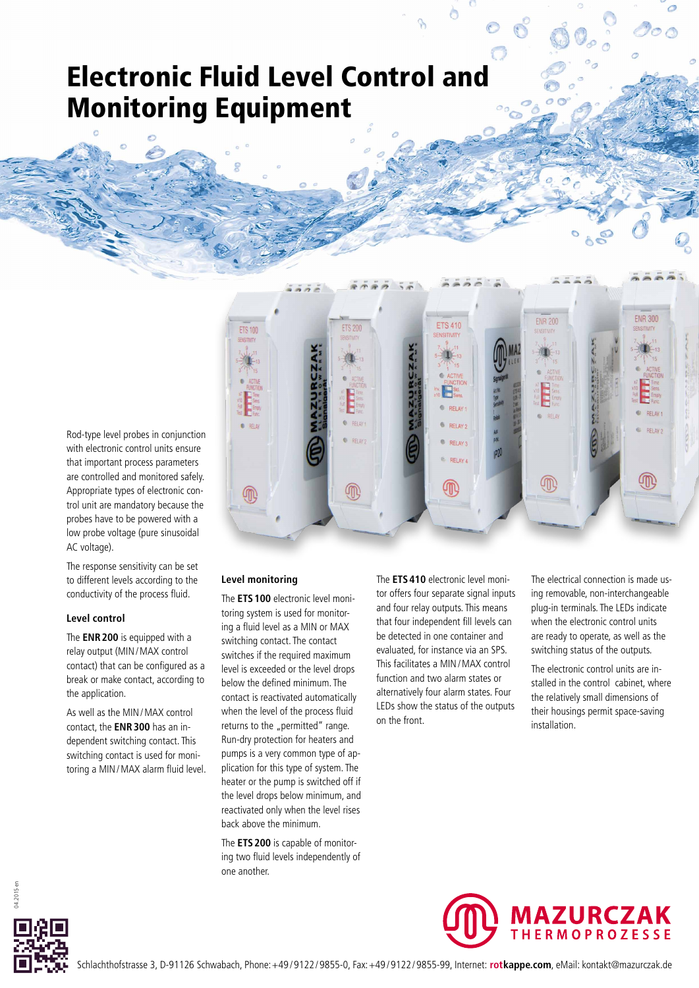## Electronic Fluid Level Control and Monitoring Equipment

Rod-type level probes in conjunction with electronic control units ensure that important process parameters are controlled and monitored safely. Appropriate types of electronic control unit are mandatory because the probes have to be powered with a low probe voltage (pure sinusoidal AC voltage).

The response sensitivity can be set to different levels according to the conductivity of the process fluid.

## **Level control**

The **ENR200** is equipped with a relay output (MIN/MAX control contact) that can be configured as a break or make contact, according to the application.

As well as the MIN/MAX control contact, the **ENR300** has an independent switching contact. This switching contact is used for monitoring a MIN/MAX alarm fluid level.



## **Level monitoring**

The **ETS100** electronic level monitoring system is used for monitoring a fluid level as a MIN or MAX switching contact. The contact switches if the required maximum level is exceeded or the level drops below the defined minimum. The contact is reactivated automatically when the level of the process fluid returns to the "permitted" range. Run-dry protection for heaters and pumps is a very common type of application for this type of system. The heater or the pump is switched off if the level drops below minimum, and reactivated only when the level rises back above the minimum.

The **ETS200** is capable of monitoring two fluid levels independently of one another.

The **ETS410** electronic level monitor offers four separate signal inputs and four relay outputs. This means that four independent fill levels can be detected in one container and evaluated, for instance via an SPS. This facilitates a MIN/MAX control function and two alarm states or alternatively four alarm states. Four LEDs show the status of the outputs on the front.

The electrical connection is made using removable, non-interchangeable plug-in terminals. The LEDs indicate when the electronic control units are ready to operate, as well as the switching status of the outputs.

The electronic control units are installed in the control cabinet, where the relatively small dimensions of their housings permit space-saving installation.